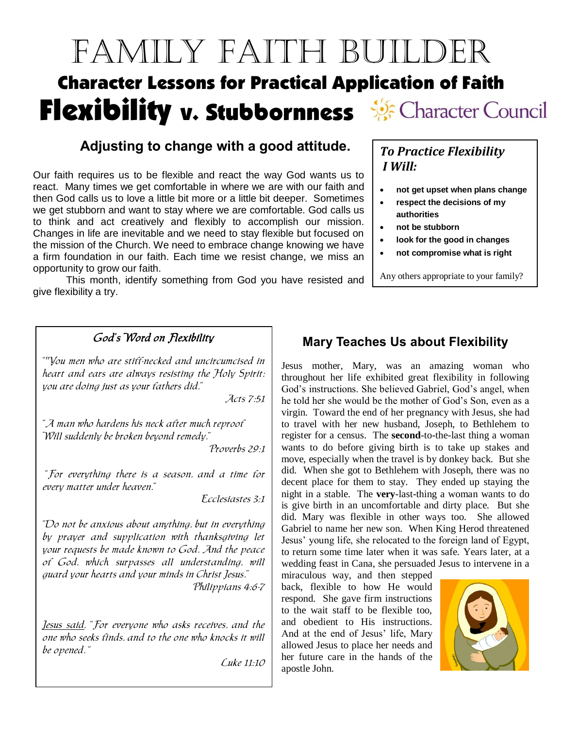# Family Faith Builder Character Lessons for Practical Application of Faith Flexibility v. Stubbornness Secharacter Council

#### **Adjusting to change with a good attitude.**

Our faith requires us to be flexible and react the way God wants us to react. Many times we get comfortable in where we are with our faith and then God calls us to love a little bit more or a little bit deeper. Sometimes we get stubborn and want to stay where we are comfortable. God calls us to think and act creatively and flexibly to accomplish our mission. Changes in life are inevitable and we need to stay flexible but focused on the mission of the Church. We need to embrace change knowing we have a firm foundation in our faith. Each time we resist change, we miss an opportunity to grow our faith.

This month, identify something from God you have resisted and give flexibility a try.

#### God's Word on Flexibility

""You men who are stiff-necked and uncircumcised in heart and ears are always resisting the Holy Spirit; you are doing just as your fathers did."

Acts 7:51

"A man who hardens his neck after much reproof Will suddenly be broken beyond remedy."

Proverbs 29:1

"For everything there is a season, and a time for every matter under heaven."

Ecclesiastes 3:1

"Do not be anxious about anything, but in everything by prayer and supplication with thanksgiving let your requests be made known to God. And the peace of God, which surpasses all understanding, will guard your hearts and your minds in Christ Jesus." Philippians 4:6-7

Jesus said, "For everyone who asks receives, and the one who seeks finds, and to the one who knocks it will be opened. "

Luke 11:10

#### *To Practice Flexibility I Will:*

- **not get upset when plans change**
- **respect the decisions of my authorities**
- **not be stubborn**
- **look for the good in changes**
- **not compromise what is right**

Any others appropriate to your family?

#### **Mary Teaches Us about Flexibility**

Jesus mother, Mary, was an amazing woman who throughout her life exhibited great flexibility in following God's instructions. She believed Gabriel, God's angel, when he told her she would be the mother of God's Son, even as a virgin. Toward the end of her pregnancy with Jesus, she had to travel with her new husband, Joseph, to Bethlehem to register for a census. The **second**-to-the-last thing a woman wants to do before giving birth is to take up stakes and move, especially when the travel is by donkey back. But she did. When she got to Bethlehem with Joseph, there was no decent place for them to stay. They ended up staying the night in a stable. The **very**-last-thing a woman wants to do is give birth in an uncomfortable and dirty place. But she did. Mary was flexible in other ways too. She allowed Gabriel to name her new son. When King Herod threatened Jesus' young life, she relocated to the foreign land of Egypt, to return some time later when it was safe. Years later, at a wedding feast in Cana, she persuaded Jesus to intervene in a

miraculous way, and then stepped back, flexible to how He would respond. She gave firm instructions to the wait staff to be flexible too, and obedient to His instructions. And at the end of Jesus' life, Mary allowed Jesus to place her needs and her future care in the hands of the apostle John.